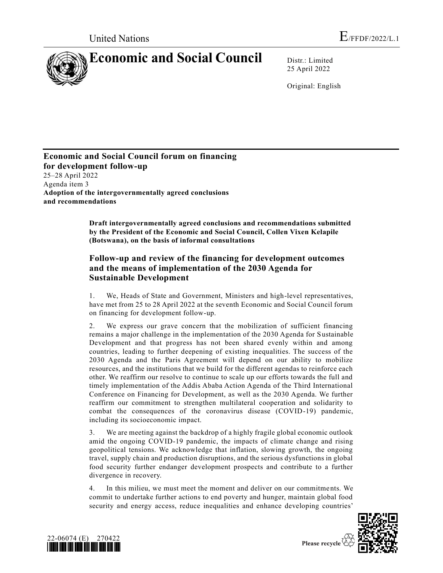

25 April 2022

Original: English

**Economic and Social Council forum on financing for development follow-up** 25–28 April 2022 Agenda item 3 **Adoption of the intergovernmentally agreed conclusions and recommendations**

> **Draft intergovernmentally agreed conclusions and recommendations submitted by the President of the Economic and Social Council, Collen Vixen Kelapile (Botswana), on the basis of informal consultations**

# **Follow-up and review of the financing for development outcomes and the means of implementation of the 2030 Agenda for Sustainable Development**

1. We, Heads of State and Government, Ministers and high-level representatives, have met from 25 to 28 April 2022 at the seventh Economic and Social Council forum on financing for development follow-up.

2. We express our grave concern that the mobilization of sufficient financing remains a major challenge in the implementation of the 2030 Agenda for Sustainable Development and that progress has not been shared evenly within and among countries, leading to further deepening of existing inequalities. The success of the 2030 Agenda and the Paris Agreement will depend on our ability to mobilize resources, and the institutions that we build for the different agendas to reinforce each other. We reaffirm our resolve to continue to scale up our efforts towards the full and timely implementation of the Addis Ababa Action Agenda of the Third International Conference on Financing for Development, as well as the 2030 Agenda. We further reaffirm our commitment to strengthen multilateral cooperation and solidarity to combat the consequences of the coronavirus disease (COVID-19) pandemic, including its socioeconomic impact.

3. We are meeting against the backdrop of a highly fragile global economic outlook amid the ongoing COVID-19 pandemic, the impacts of climate change and rising geopolitical tensions. We acknowledge that inflation, slowing growth, the ongoing travel, supply chain and production disruptions, and the serious dysfunctions in global food security further endanger development prospects and contribute to a further divergence in recovery.

4. In this milieu, we must meet the moment and deliver on our commitments. We commit to undertake further actions to end poverty and hunger, maintain global food security and energy access, reduce inequalities and enhance developing countries'



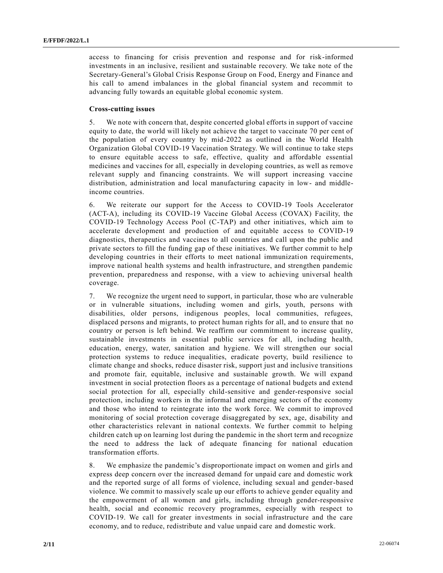access to financing for crisis prevention and response and for risk-informed investments in an inclusive, resilient and sustainable recovery. We take note of the Secretary-General's Global Crisis Response Group on Food, Energy and Finance and his call to amend imbalances in the global financial system and recommit to advancing fully towards an equitable global economic system.

## **Cross-cutting issues**

5. We note with concern that, despite concerted global efforts in support of vaccine equity to date, the world will likely not achieve the target to vaccinate 70 per cent of the population of every country by mid-2022 as outlined in the World Health Organization Global COVID-19 Vaccination Strategy. We will continue to take steps to ensure equitable access to safe, effective, quality and affordable essential medicines and vaccines for all, especially in developing countries, as well as remove relevant supply and financing constraints. We will support increasing vaccine distribution, administration and local manufacturing capacity in low- and middleincome countries.

6. We reiterate our support for the Access to COVID-19 Tools Accelerator (ACT-A), including its COVID-19 Vaccine Global Access (COVAX) Facility, the COVID-19 Technology Access Pool (C-TAP) and other initiatives, which aim to accelerate development and production of and equitable access to COVID-19 diagnostics, therapeutics and vaccines to all countries and call upon the public and private sectors to fill the funding gap of these initiatives. We further commit to help developing countries in their efforts to meet national immunization requirements, improve national health systems and health infrastructure, and strengthen pandemic prevention, preparedness and response, with a view to achieving universal health coverage.

7. We recognize the urgent need to support, in particular, those who are vulnerable or in vulnerable situations, including women and girls, youth, persons with disabilities, older persons, indigenous peoples, local communities, refugees, displaced persons and migrants, to protect human rights for all, and to ensure that no country or person is left behind. We reaffirm our commitment to increase quality, sustainable investments in essential public services for all, including health, education, energy, water, sanitation and hygiene. We will strengthen our social protection systems to reduce inequalities, eradicate poverty, build resilience to climate change and shocks, reduce disaster risk, support just and inclusive transitions and promote fair, equitable, inclusive and sustainable growth. We will expand investment in social protection floors as a percentage of national budgets and extend social protection for all, especially child-sensitive and gender-responsive social protection, including workers in the informal and emerging sectors of the economy and those who intend to reintegrate into the work force. We commit to improved monitoring of social protection coverage disaggregated by sex, age, disability and other characteristics relevant in national contexts. We further commit to helping children catch up on learning lost during the pandemic in the short term and recognize the need to address the lack of adequate financing for national education transformation efforts.

8. We emphasize the pandemic's disproportionate impact on women and girls and express deep concern over the increased demand for unpaid care and domestic work and the reported surge of all forms of violence, including sexual and gender-based violence. We commit to massively scale up our efforts to achieve gender equality and the empowerment of all women and girls, including through gender-responsive health, social and economic recovery programmes, especially with respect to COVID-19. We call for greater investments in social infrastructure and the care economy, and to reduce, redistribute and value unpaid care and domestic work.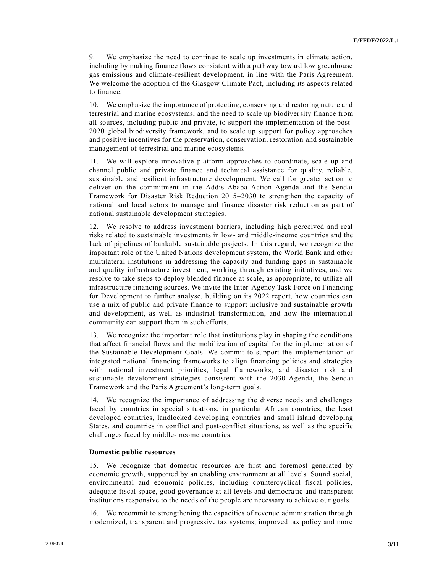9. We emphasize the need to continue to scale up investments in climate action, including by making finance flows consistent with a pathway toward low greenhouse gas emissions and climate-resilient development, in line with the Paris Agreement. We welcome the adoption of the Glasgow Climate Pact, including its aspects related to finance.

10. We emphasize the importance of protecting, conserving and restoring nature and terrestrial and marine ecosystems, and the need to scale up biodiversity finance from all sources, including public and private, to support the implementation of the post-2020 global biodiversity framework, and to scale up support for policy approaches and positive incentives for the preservation, conservation, restoration and sustainable management of terrestrial and marine ecosystems.

11. We will explore innovative platform approaches to coordinate, scale up and channel public and private finance and technical assistance for quality, reliable, sustainable and resilient infrastructure development. We call for greater action to deliver on the commitment in the Addis Ababa Action Agenda and the Sendai Framework for Disaster Risk Reduction 2015–2030 to strengthen the capacity of national and local actors to manage and finance disaster risk reduction as part of national sustainable development strategies.

12. We resolve to address investment barriers, including high perceived and real risks related to sustainable investments in low- and middle-income countries and the lack of pipelines of bankable sustainable projects. In this regard, we recognize the important role of the United Nations development system, the World Bank and other multilateral institutions in addressing the capacity and funding gaps in sustainable and quality infrastructure investment, working through existing initiatives, and we resolve to take steps to deploy blended finance at scale, as appropriate, to utilize all infrastructure financing sources. We invite the Inter-Agency Task Force on Financing for Development to further analyse, building on its 2022 report, how countries can use a mix of public and private finance to support inclusive and sustainable growth and development, as well as industrial transformation, and how the international community can support them in such efforts.

13. We recognize the important role that institutions play in shaping the conditions that affect financial flows and the mobilization of capital for the implementation of the Sustainable Development Goals. We commit to support the implementation of integrated national financing frameworks to align financing policies and strategies with national investment priorities, legal frameworks, and disaster risk and sustainable development strategies consistent with the 2030 Agenda, the Sendai Framework and the Paris Agreement's long-term goals.

14. We recognize the importance of addressing the diverse needs and challenges faced by countries in special situations, in particular African countries, the least developed countries, landlocked developing countries and small island developing States, and countries in conflict and post-conflict situations, as well as the specific challenges faced by middle-income countries.

#### **Domestic public resources**

15. We recognize that domestic resources are first and foremost generated by economic growth, supported by an enabling environment at all levels. Sound social, environmental and economic policies, including countercyclical fiscal policies, adequate fiscal space, good governance at all levels and democra tic and transparent institutions responsive to the needs of the people are necessary to achieve our goals.

16. We recommit to strengthening the capacities of revenue administration through modernized, transparent and progressive tax systems, improved tax policy and more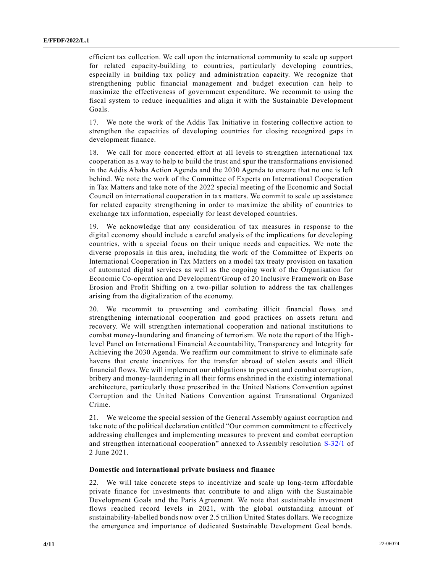efficient tax collection. We call upon the international community to scale up support for related capacity-building to countries, particularly developing countries, especially in building tax policy and administration capacity. We recognize that strengthening public financial management and budget execution can help to maximize the effectiveness of government expenditure. We recommit to using the fiscal system to reduce inequalities and align it with the Sustainable Development Goals.

17. We note the work of the Addis Tax Initiative in fostering collective action to strengthen the capacities of developing countries for closing recognized gaps in development finance.

18. We call for more concerted effort at all levels to strengthen international tax cooperation as a way to help to build the trust and spur the transformations envisioned in the Addis Ababa Action Agenda and the 2030 Agenda to ensure that no one is left behind. We note the work of the Committee of Experts on International Cooperation in Tax Matters and take note of the 2022 special meeting of the Economic and Social Council on international cooperation in tax matters. We commit to scale up assistance for related capacity strengthening in order to maximize the ability of countries to exchange tax information, especially for least developed countries.

19. We acknowledge that any consideration of tax measures in response to the digital economy should include a careful analysis of the implications for developing countries, with a special focus on their unique needs and capacities. We note the diverse proposals in this area, including the work of the Committee of Experts on International Cooperation in Tax Matters on a model tax treaty provision on taxation of automated digital services as well as the ongoing work of the Organisation for Economic Co-operation and Development/Group of 20 Inclusive Framework on Base Erosion and Profit Shifting on a two-pillar solution to address the tax challenges arising from the digitalization of the economy.

20. We recommit to preventing and combating illicit financial flows and strengthening international cooperation and good practices on assets return and recovery. We will strengthen international cooperation and national institutions to combat money-laundering and financing of terrorism. We note the report of the Highlevel Panel on International Financial Accountability, Transparency and Integrity for Achieving the 2030 Agenda. We reaffirm our commitment to strive to eliminate safe havens that create incentives for the transfer abroad of stolen assets and illicit financial flows. We will implement our obligations to prevent and combat corruption, bribery and money-laundering in all their forms enshrined in the existing international architecture, particularly those prescribed in the United Nations Convention against Corruption and the United Nations Convention against Transnational Organized Crime.

21. We welcome the special session of the General Assembly against corruption and take note of the political declaration entitled "Our common commitment to effectively addressing challenges and implementing measures to prevent and combat corruption and strengthen international cooperation" annexed to Assembly resolution [S-32/1](https://undocs.org/en/A/RES/S-32/1) of 2 June 2021.

## **Domestic and international private business and finance**

22. We will take concrete steps to incentivize and scale up long-term affordable private finance for investments that contribute to and align with the Sustainable Development Goals and the Paris Agreement. We note that sustainable investment flows reached record levels in 2021, with the global outstanding amount of sustainability-labelled bonds now over 2.5 trillion United States dollars. We recognize the emergence and importance of dedicated Sustainable Development Goal bonds.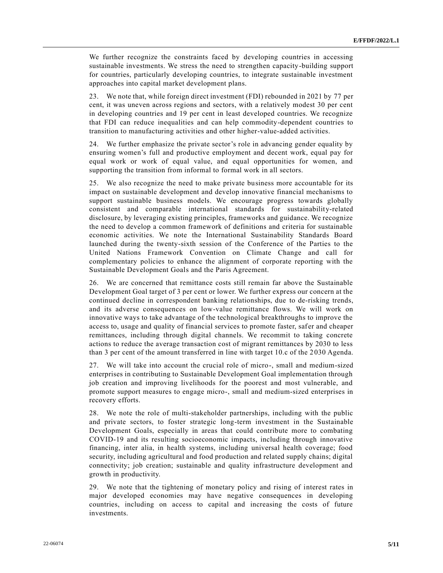We further recognize the constraints faced by developing countries in accessing sustainable investments. We stress the need to strengthen capacity-building support for countries, particularly developing countries, to integrate sustainable investment approaches into capital market development plans.

23. We note that, while foreign direct investment (FDI) rebounded in 2021 by 77 per cent, it was uneven across regions and sectors, with a relatively modest 30 per cent in developing countries and 19 per cent in least developed countries. We recognize that FDI can reduce inequalities and can help commodity-dependent countries to transition to manufacturing activities and other higher-value-added activities.

24. We further emphasize the private sector's role in advancing gender equality by ensuring women's full and productive employment and decent work, equal pay for equal work or work of equal value, and equal opportunities for women, and supporting the transition from informal to formal work in all sectors.

25. We also recognize the need to make private business more accountable for its impact on sustainable development and develop innovative financial mechanisms to support sustainable business models. We encourage progress towards globally consistent and comparable international standards for sustainability-related disclosure, by leveraging existing principles, frameworks and guidance. We recognize the need to develop a common framework of definitions and criteria for sustainable economic activities. We note the International Sustainability Standards Board launched during the twenty-sixth session of the Conference of the Parties to the United Nations Framework Convention on Climate Change and call for complementary policies to enhance the alignment of corporate reporting with the Sustainable Development Goals and the Paris Agreement.

26. We are concerned that remittance costs still remain far above the Sustainable Development Goal target of 3 per cent or lower. We further express our concern at the continued decline in correspondent banking relationships, due to de-risking trends, and its adverse consequences on low-value remittance flows. We will work on innovative ways to take advantage of the technological breakthroughs to improve the access to, usage and quality of financial services to promote faster, safer and cheaper remittances, including through digital channels. We recommit to taking concrete actions to reduce the average transaction cost of migrant remittances by 2030 to less than 3 per cent of the amount transferred in line with target 10.c of the 2030 Agenda.

27. We will take into account the crucial role of micro-, small and medium-sized enterprises in contributing to Sustainable Development Goal implementation through job creation and improving livelihoods for the poorest and most vulnerable, and promote support measures to engage micro-, small and medium-sized enterprises in recovery efforts.

28. We note the role of multi-stakeholder partnerships, including with the public and private sectors, to foster strategic long-term investment in the Sustainable Development Goals, especially in areas that could contribute more to combating COVID-19 and its resulting socioeconomic impacts, including through innovative financing, inter alia, in health systems, including universal health coverage; food security, including agricultural and food production and related supply chains; digital connectivity; job creation; sustainable and quality infrastructure development and growth in productivity.

29. We note that the tightening of monetary policy and rising of interest rates in major developed economies may have negative consequences in developing countries, including on access to capital and increasing the costs of future investments.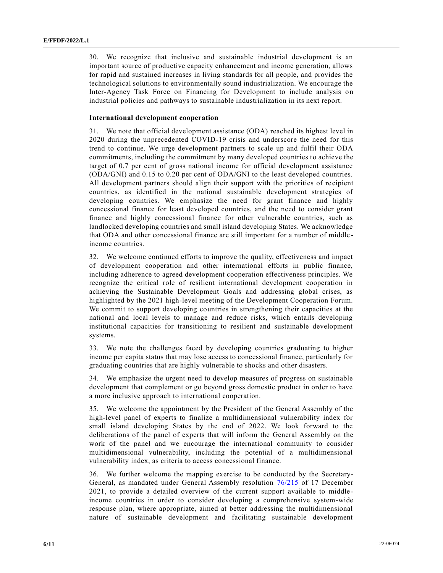30. We recognize that inclusive and sustainable industrial development is an important source of productive capacity enhancement and income generation, allows for rapid and sustained increases in living standards for all people, and provides the technological solutions to environmentally sound industrialization. We encourage the Inter-Agency Task Force on Financing for Development to include analysis on industrial policies and pathways to sustainable industrialization in its next report.

## **International development cooperation**

31. We note that official development assistance (ODA) reached its highest level in 2020 during the unprecedented COVID-19 crisis and underscore the need for this trend to continue. We urge development partners to scale up and fulfil their ODA commitments, including the commitment by many developed countries to achieve the target of 0.7 per cent of gross national income for official development assistance (ODA/GNI) and 0.15 to 0.20 per cent of ODA/GNI to the least developed countries. All development partners should align their support with the priorities of re cipient countries, as identified in the national sustainable development strategies of developing countries. We emphasize the need for grant finance and highly concessional finance for least developed countries, and the need to consider grant finance and highly concessional finance for other vulnerable countries, such as landlocked developing countries and small island developing States. We acknowledge that ODA and other concessional finance are still important for a number of middle income countries.

32. We welcome continued efforts to improve the quality, effectiveness and impact of development cooperation and other international efforts in public finance, including adherence to agreed development cooperation effectiveness principles. We recognize the critical role of resilient international development cooperation in achieving the Sustainable Development Goals and addressing global crises, as highlighted by the 2021 high-level meeting of the Development Cooperation Forum. We commit to support developing countries in strengthening their capacities at the national and local levels to manage and reduce risks, which entails developing institutional capacities for transitioning to resilient and sustainable development systems.

33. We note the challenges faced by developing countries graduating to higher income per capita status that may lose access to concessional finance, particularly for graduating countries that are highly vulnerable to shocks and other disasters.

34. We emphasize the urgent need to develop measures of progress on sustainable development that complement or go beyond gross domestic product in order to have a more inclusive approach to international cooperation.

35. We welcome the appointment by the President of the General Assembly of the high-level panel of experts to finalize a multidimensional vulnerability index for small island developing States by the end of 2022. We look forward to the deliberations of the panel of experts that will inform the General Assembly on the work of the panel and we encourage the international community to consider multidimensional vulnerability, including the potential of a multidimensional vulnerability index, as criteria to access concessional finance.

36. We further welcome the mapping exercise to be conducted by the Secretary-General, as mandated under General Assembly resolution [76/215](https://undocs.org/en/A/RES/76/215) of 17 December 2021, to provide a detailed overview of the current support available to middle income countries in order to consider developing a comprehensive system-wide response plan, where appropriate, aimed at better addressing the multidimensional nature of sustainable development and facilitating sustainable development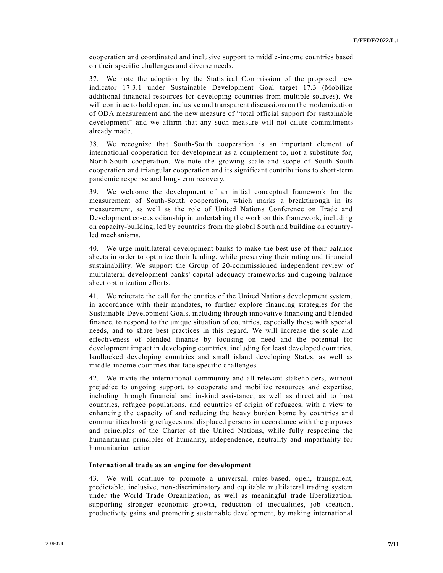cooperation and coordinated and inclusive support to middle-income countries based on their specific challenges and diverse needs.

37. We note the adoption by the Statistical Commission of the proposed new indicator 17.3.1 under Sustainable Development Goal target 17.3 (Mobilize additional financial resources for developing countries from multiple sources). We will continue to hold open, inclusive and transparent discussions on the modernization of ODA measurement and the new measure of "total official support for sustainable development" and we affirm that any such measure will not dilute commitments already made.

38. We recognize that South-South cooperation is an important element of international cooperation for development as a complement to, not a substitute for, North-South cooperation. We note the growing scale and scope of South-South cooperation and triangular cooperation and its significant contributions to short-term pandemic response and long-term recovery.

39. We welcome the development of an initial conceptual framework for the measurement of South-South cooperation, which marks a breakthrough in its measurement, as well as the role of United Nations Conference on Trade and Development co-custodianship in undertaking the work on this framework, including on capacity-building, led by countries from the global South and building on countryled mechanisms.

40. We urge multilateral development banks to make the best use of their balance sheets in order to optimize their lending, while preserving their rating and financial sustainability. We support the Group of 20-commissioned independent review of multilateral development banks' capital adequacy frameworks and ongoing balance sheet optimization efforts.

41. We reiterate the call for the entities of the United Nations development system, in accordance with their mandates, to further explore financing strategies for the Sustainable Development Goals, including through innovative financing and blended finance, to respond to the unique situation of countries, especially those with special needs, and to share best practices in this regard. We will increase the scale and effectiveness of blended finance by focusing on need and the potential for development impact in developing countries, including for least developed countries, landlocked developing countries and small island developing States, as well as middle-income countries that face specific challenges.

42. We invite the international community and all relevant stakeholders, without prejudice to ongoing support, to cooperate and mobilize resources and expertise, including through financial and in-kind assistance, as well as direct aid to host countries, refugee populations, and countries of origin of refugees, with a view to enhancing the capacity of and reducing the heavy burden borne by countries an d communities hosting refugees and displaced persons in accordance with the purposes and principles of the Charter of the United Nations, while fully respecting the humanitarian principles of humanity, independence, neutrality and impartiality for humanitarian action.

#### **International trade as an engine for development**

43. We will continue to promote a universal, rules-based, open, transparent, predictable, inclusive, non-discriminatory and equitable multilateral trading system under the World Trade Organization, as well as meaningful trade liberalization, supporting stronger economic growth, reduction of inequalities, job creation, productivity gains and promoting sustainable development, by making international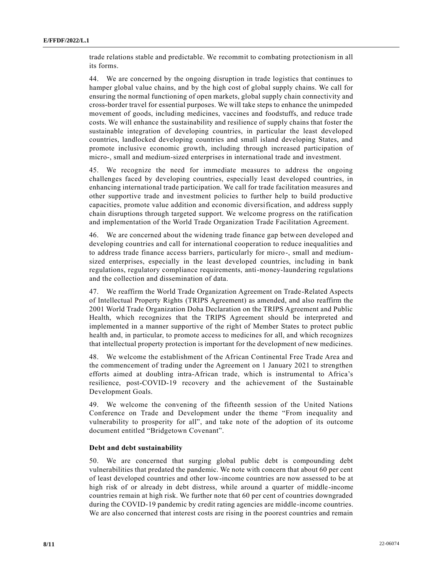trade relations stable and predictable. We recommit to combating protectionism in all its forms.

44. We are concerned by the ongoing disruption in trade logistics that continues to hamper global value chains, and by the high cost of global supply chains. We call for ensuring the normal functioning of open markets, global supply chain connectivity and cross-border travel for essential purposes. We will take steps to enhance the unimpeded movement of goods, including medicines, vaccines and foodstuffs, and reduce trade costs. We will enhance the sustainability and resilience of supply chains that foster the sustainable integration of developing countries, in particular the least developed countries, landlocked developing countries and small island developing States, and promote inclusive economic growth, including through increased participation of micro-, small and medium-sized enterprises in international trade and investment.

45. We recognize the need for immediate measures to address the ongoing challenges faced by developing countries, especially least developed countries, in enhancing international trade participation. We call for trade facilitation measures and other supportive trade and investment policies to further help to build productive capacities, promote value addition and economic diversification, and address supply chain disruptions through targeted support. We welcome progress on the ratification and implementation of the World Trade Organization Trade Facilitation Agreement.

46. We are concerned about the widening trade finance gap between developed and developing countries and call for international cooperation to reduce inequalities and to address trade finance access barriers, particularly for micro-, small and mediumsized enterprises, especially in the least developed countries, including in bank regulations, regulatory compliance requirements, anti-money-laundering regulations and the collection and dissemination of data.

47. We reaffirm the World Trade Organization Agreement on Trade-Related Aspects of Intellectual Property Rights (TRIPS Agreement) as amended, and also reaffirm the 2001 World Trade Organization Doha Declaration on the TRIPS Agreement and Public Health, which recognizes that the TRIPS Agreement should be interpreted and implemented in a manner supportive of the right of Member States to protect public health and, in particular, to promote access to medicines for all, and which recognizes that intellectual property protection is important for the development of new medicines.

48. We welcome the establishment of the African Continental Free Trade Area and the commencement of trading under the Agreement on 1 January 2021 to strengthen efforts aimed at doubling intra-African trade, which is instrumental to Africa's resilience, post-COVID-19 recovery and the achievement of the Sustainable Development Goals.

49. We welcome the convening of the fifteenth session of the United Nations Conference on Trade and Development under the theme "From inequality and vulnerability to prosperity for all", and take note of the adoption of its outcome document entitled "Bridgetown Covenant".

## **Debt and debt sustainability**

50. We are concerned that surging global public debt is compounding debt vulnerabilities that predated the pandemic. We note with concern that about 60 per cent of least developed countries and other low-income countries are now assessed to be at high risk of or already in debt distress, while around a quarter of middle-income countries remain at high risk. We further note that 60 per cent of countries downgraded during the COVID-19 pandemic by credit rating agencies are middle-income countries. We are also concerned that interest costs are rising in the poorest countries and remain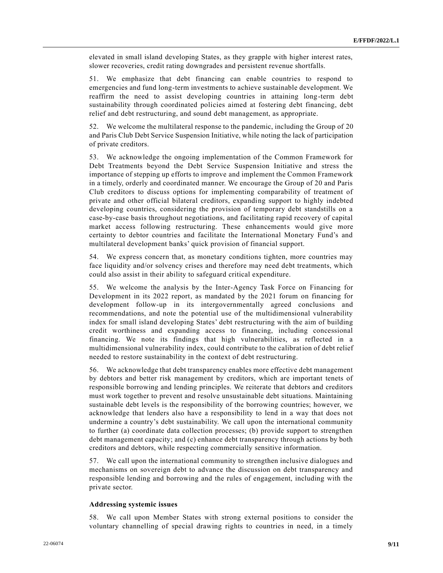elevated in small island developing States, as they grapple with higher interest rates, slower recoveries, credit rating downgrades and persistent revenue shortfalls.

51. We emphasize that debt financing can enable countries to respond to emergencies and fund long-term investments to achieve sustainable development. We reaffirm the need to assist developing countries in attaining long-term debt sustainability through coordinated policies aimed at fostering debt financing, debt relief and debt restructuring, and sound debt management, as appropriate.

52. We welcome the multilateral response to the pandemic, including the Group of 20 and Paris Club Debt Service Suspension Initiative, while noting the lack of participation of private creditors.

53. We acknowledge the ongoing implementation of the Common Framework for Debt Treatments beyond the Debt Service Suspension Initiative and stress the importance of stepping up efforts to improve and implement the Common Framework in a timely, orderly and coordinated manner. We encourage the Group of 20 and Paris Club creditors to discuss options for implementing comparability of treatment of private and other official bilateral creditors, expanding support to highly indebted developing countries, considering the provision of temporary debt standstills on a case-by-case basis throughout negotiations, and facilitating rapid recovery of capital market access following restructuring. These enhancements would give more certainty to debtor countries and facilitate the International Monetary Fund's and multilateral development banks' quick provision of financial support.

54. We express concern that, as monetary conditions tighten, more countries may face liquidity and/or solvency crises and therefore may need debt treatments, which could also assist in their ability to safeguard critical expenditure.

55. We welcome the analysis by the Inter-Agency Task Force on Financing for Development in its 2022 report, as mandated by the 2021 forum on financing for development follow-up in its intergovernmentally agreed conclusions and recommendations, and note the potential use of the multidimensional vulnerability index for small island developing States' debt restructuring with the aim of building credit worthiness and expanding access to financing, including concessional financing. We note its findings that high vulnerabilities, as reflected in a multidimensional vulnerability index, could contribute to the calibration of debt relief needed to restore sustainability in the context of debt restructuring.

56. We acknowledge that debt transparency enables more effective debt management by debtors and better risk management by creditors, which are important tenets of responsible borrowing and lending principles. We reiterate that debtors and creditors must work together to prevent and resolve unsustainable debt situations. Maintaining sustainable debt levels is the responsibility of the borrowing countries; however, we acknowledge that lenders also have a responsibility to lend in a way that does not undermine a country's debt sustainability. We call upon the international community to further (a) coordinate data collection processes; (b) provide support to strengthen debt management capacity; and (c) enhance debt transparency through actions by both creditors and debtors, while respecting commercially sensitive information.

57. We call upon the international community to strengthen inclusive dialogues and mechanisms on sovereign debt to advance the discussion on debt transparency and responsible lending and borrowing and the rules of engagement, including with the private sector.

#### **Addressing systemic issues**

58. We call upon Member States with strong external positions to consider the voluntary channelling of special drawing rights to countries in need, in a timely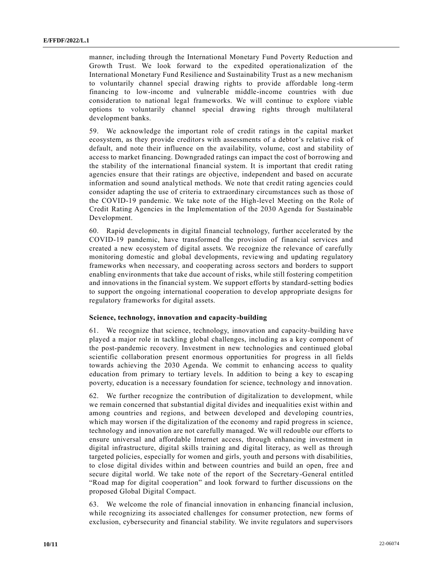manner, including through the International Monetary Fund Poverty Reduction and Growth Trust. We look forward to the expedited operationalization of the International Monetary Fund Resilience and Sustainability Trust as a new mechanism to voluntarily channel special drawing rights to provide affordable long -term financing to low-income and vulnerable middle-income countries with due consideration to national legal frameworks. We will continue to explore viable options to voluntarily channel special drawing rights through multilateral development banks.

59. We acknowledge the important role of credit ratings in the capital market ecosystem, as they provide creditors with assessments of a debtor's relative risk of default, and note their influence on the availability, volume, cost and stability of access to market financing. Downgraded ratings can impact the cost of borrowing and the stability of the international financial system. It is important that credit rating agencies ensure that their ratings are objective, independent and based on accurate information and sound analytical methods. We note that credit rating agencies could consider adapting the use of criteria to extraordinary circumstances such as those of the COVID-19 pandemic. We take note of the High-level Meeting on the Role of Credit Rating Agencies in the Implementation of the 2030 Agenda for Sustainable Development.

60. Rapid developments in digital financial technology, further accelerated by the COVID-19 pandemic, have transformed the provision of financial services and created a new ecosystem of digital assets. We recognize the relevance of carefully monitoring domestic and global developments, reviewing and updating regulatory frameworks when necessary, and cooperating across sectors and borders to support enabling environments that take due account of risks, while still fostering competition and innovations in the financial system. We support efforts by standard-setting bodies to support the ongoing international cooperation to develop appropriate designs for regulatory frameworks for digital assets.

## **Science, technology, innovation and capacity-building**

61. We recognize that science, technology, innovation and capacity-building have played a major role in tackling global challenges, including as a key component of the post-pandemic recovery. Investment in new technologies and continued global scientific collaboration present enormous opportunities for progress in all fields towards achieving the 2030 Agenda. We commit to enhancing access to quality education from primary to tertiary levels. In addition to being a key to escaping poverty, education is a necessary foundation for science, technology and innovation.

62. We further recognize the contribution of digitalization to development, while we remain concerned that substantial digital divides and inequalities exist within and among countries and regions, and between developed and developing countries, which may worsen if the digitalization of the economy and rapid progress in science, technology and innovation are not carefully managed. We will redouble our efforts to ensure universal and affordable Internet access, through enhancing investment in digital infrastructure, digital skills training and digital literacy, as well as through targeted policies, especially for women and girls, youth and persons with disabilities, to close digital divides within and between countries and build an open, free and secure digital world. We take note of the report of the Secretary-General entitled "Road map for digital cooperation" and look forward to further discussions on the proposed Global Digital Compact.

63. We welcome the role of financial innovation in enhancing financial inclusion, while recognizing its associated challenges for consumer protection, new forms of exclusion, cybersecurity and financial stability. We invite regulators and supervisors